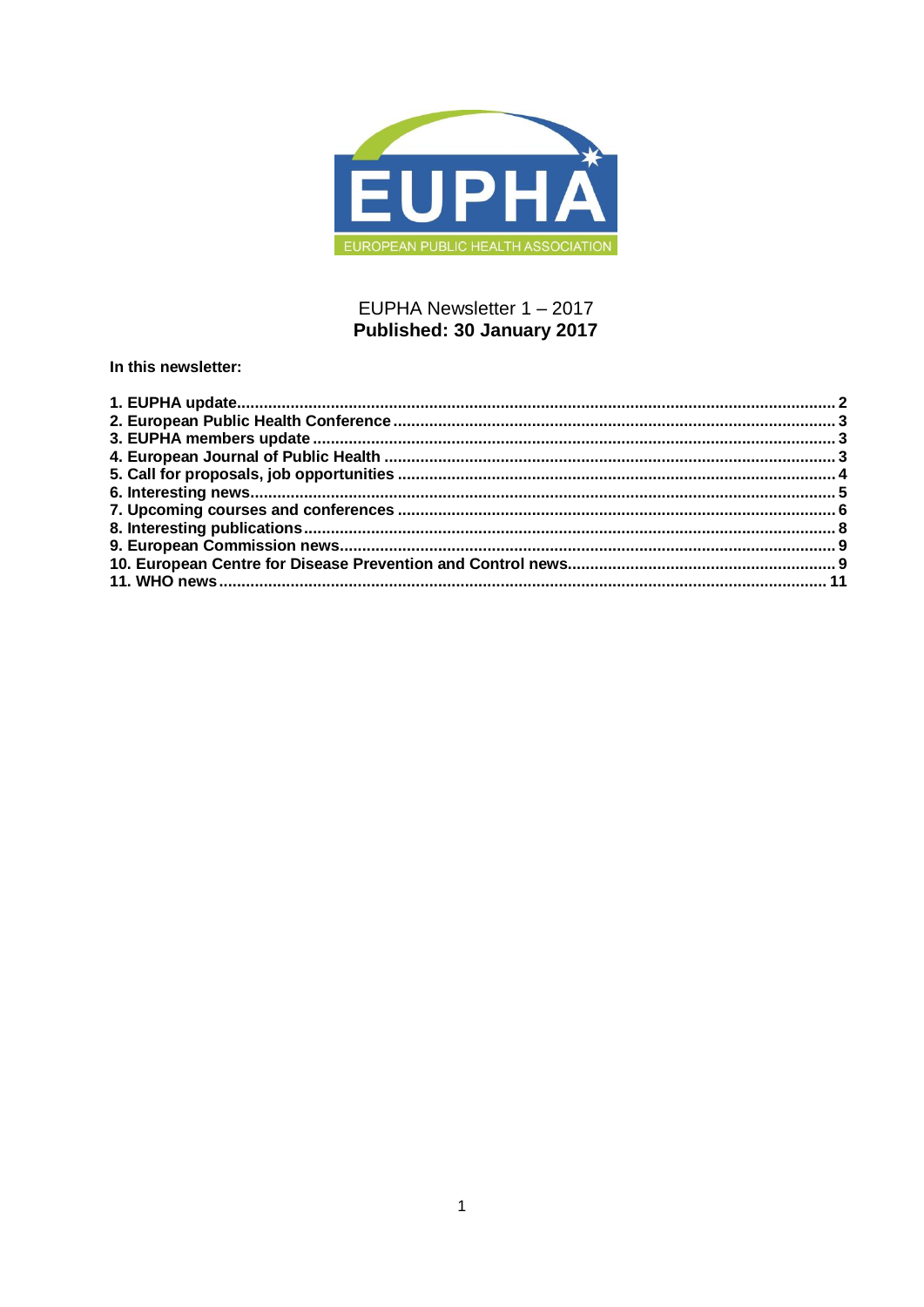

# EUPHA Newsletter 1 - 2017 Published: 30 January 2017

In this newsletter: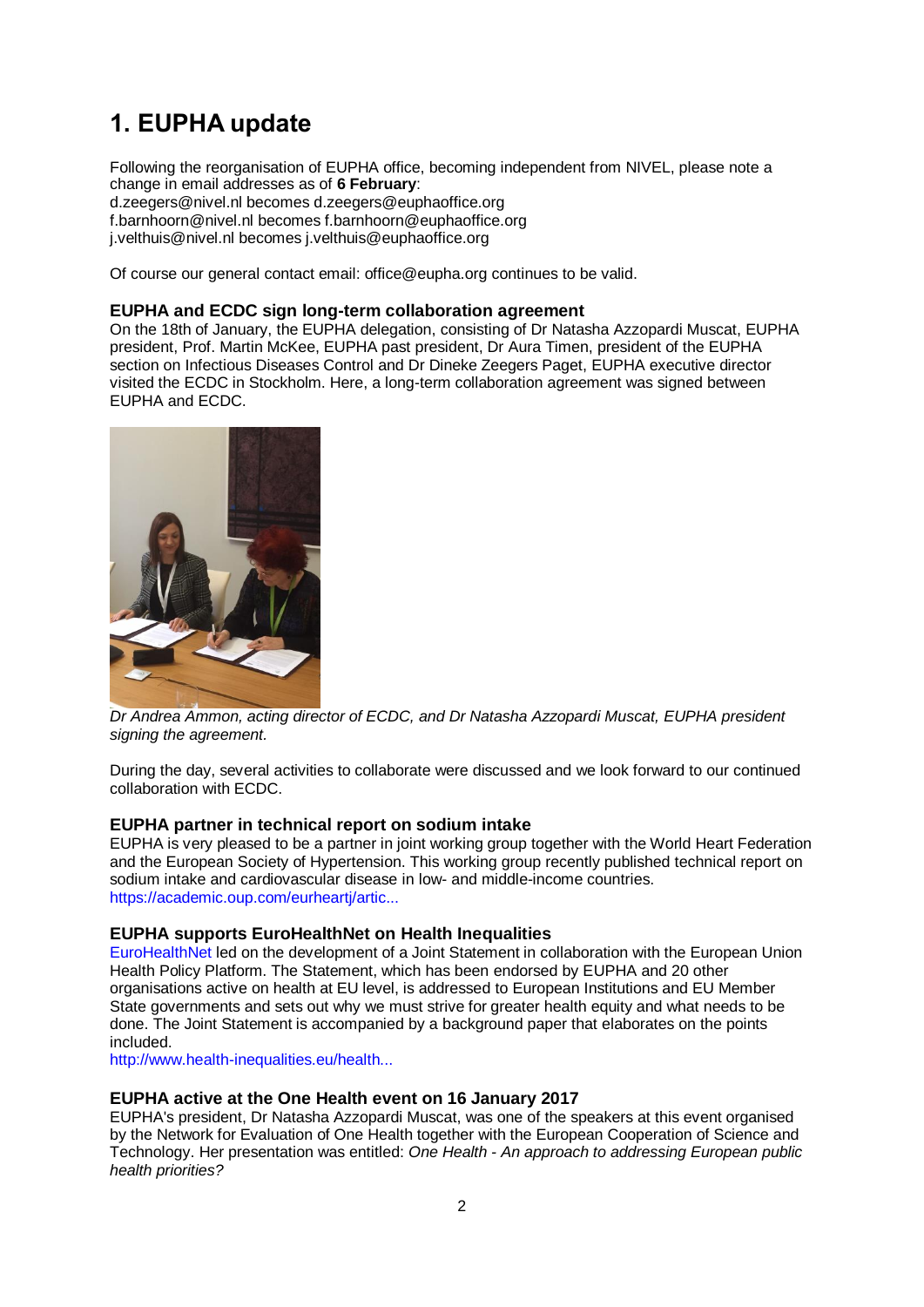# <span id="page-1-0"></span>**1. EUPHA update**

Following the reorganisation of EUPHA office, becoming independent from NIVEL, please note a change in email addresses as of **6 February**: d.zeegers@nivel.nl becomes d.zeegers@euphaoffice.org f.barnhoorn@nivel.nl becomes f.barnhoorn@euphaoffice.org j.velthuis@nivel.nl becomes j.velthuis@euphaoffice.org

Of course our general contact email: office@eupha.org continues to be valid.

#### **EUPHA and ECDC sign long-term collaboration agreement**

On the 18th of January, the EUPHA delegation, consisting of Dr Natasha Azzopardi Muscat, EUPHA president, Prof. Martin McKee, EUPHA past president, Dr Aura Timen, president of the EUPHA section on Infectious Diseases Control and Dr Dineke Zeegers Paget, EUPHA executive director visited the ECDC in Stockholm. Here, a long-term collaboration agreement was signed between EUPHA and ECDC.



*Dr Andrea Ammon, acting director of ECDC, and Dr Natasha Azzopardi Muscat, EUPHA president signing the agreement.*

During the day, several activities to collaborate were discussed and we look forward to our continued collaboration with ECDC.

#### **EUPHA partner in technical report on sodium intake**

EUPHA is very pleased to be a partner in joint working group together with the World Heart Federation and the European Society of Hypertension. This working group recently published technical report on sodium intake and cardiovascular disease in low- and middle-income countries. [https://academic.oup.com/eurheartj/artic...](https://academic.oup.com/eurheartj/article-abstract/doi/10.1093/eurheartj/ehw549/2932130/The-technical-report-on-sodium-intake-and?redirectedFrom=fulltext)

#### **EUPHA supports EuroHealthNet on Health Inequalities**

[EuroHealthNet](http://eurohealthnet.eu/) led on the development of a Joint Statement in collaboration with the European Union Health Policy Platform. The Statement, which has been endorsed by EUPHA and 20 other organisations active on health at EU level, is addressed to European Institutions and EU Member State governments and sets out why we must strive for greater health equity and what needs to be done. The Joint Statement is accompanied by a background paper that elaborates on the points included.

[http://www.health-inequalities.eu/health...](http://www.health-inequalities.eu/health-inequalities-statement/)

#### **EUPHA active at the One Health event on 16 January 2017**

EUPHA's president, Dr Natasha Azzopardi Muscat, was one of the speakers at this event organised by the Network for Evaluation of One Health together with the European Cooperation of Science and Technology. Her presentation was entitled: *One Health - An approach to addressing European public health priorities?*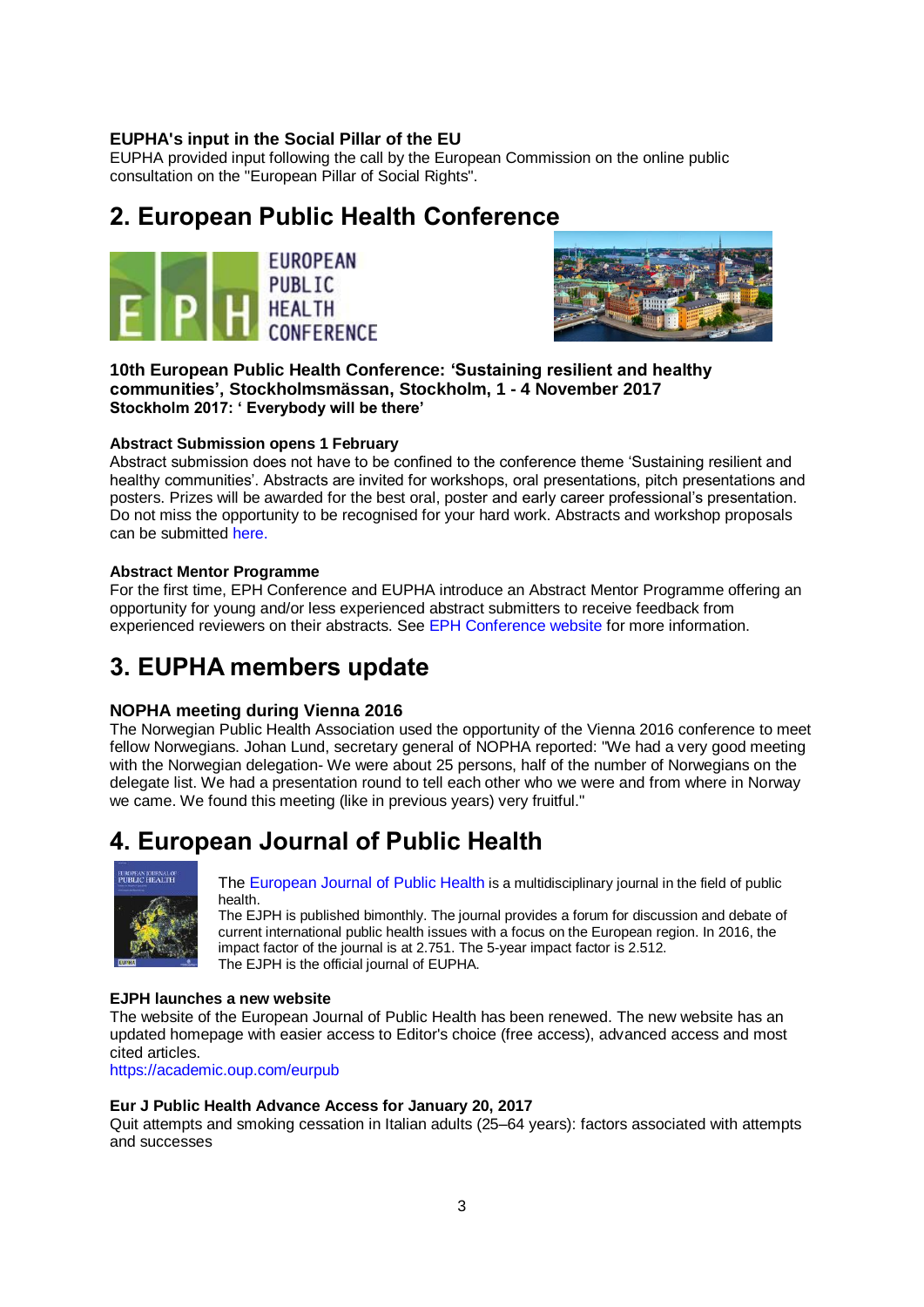## **EUPHA's input in the Social Pillar of the EU**

EUPHA provided input following the call by the European Commission on the online public consultation on the "European Pillar of Social Rights".

# <span id="page-2-0"></span>**2. European Public Health Conference**





**10th European Public Health Conference: 'Sustaining resilient and healthy communities', Stockholmsmässan, Stockholm, 1 - 4 November 2017 Stockholm 2017: ' Everybody will be there'** 

#### **Abstract Submission opens 1 February**

Abstract submission does not have to be confined to the conference theme 'Sustaining resilient and healthy communities'. Abstracts are invited for workshops, oral presentations, pitch presentations and posters. Prizes will be awarded for the best oral, poster and early career professional's presentation. Do not miss the opportunity to be recognised for your hard work. Abstracts and workshop proposals can be submitted [here.](https://ephconference.eu/)

### **Abstract Mentor Programme**

For the first time, EPH Conference and EUPHA introduce an Abstract Mentor Programme offering an opportunity for young and/or less experienced abstract submitters to receive feedback from experienced reviewers on their abstracts. See [EPH Conference website](https://ephconference.eu/) for more information.

# <span id="page-2-1"></span>**3. EUPHA members update**

## **NOPHA meeting during Vienna 2016**

The Norwegian Public Health Association used the opportunity of the Vienna 2016 conference to meet fellow Norwegians. Johan Lund, secretary general of NOPHA reported: "We had a very good meeting with the Norwegian delegation- We were about 25 persons, half of the number of Norwegians on the delegate list. We had a presentation round to tell each other who we were and from where in Norway we came. We found this meeting (like in previous years) very fruitful."

# <span id="page-2-2"></span>**4. European Journal of Public Health**



[The European Journal of Public Health](http://eurpub.oxfordjournals.org/) is a multidisciplinary journal in the field of public health.

The EJPH is published bimonthly. The journal provides a forum for discussion and debate of current international public health issues with a focus on the European region. In 2016, the impact factor of the journal is at 2.751. The 5-year impact factor is 2.512. The EJPH is the official journal of EUPHA.

#### **EJPH launches a new website**

The website of the European Journal of Public Health has been renewed. The new website has an updated homepage with easier access to Editor's choice (free access), advanced access and most cited articles.

<https://academic.oup.com/eurpub>

#### **Eur J Public Health Advance Access for January 20, 2017**

Quit attempts and smoking cessation in Italian adults (25–64 years): factors associated with attempts and successes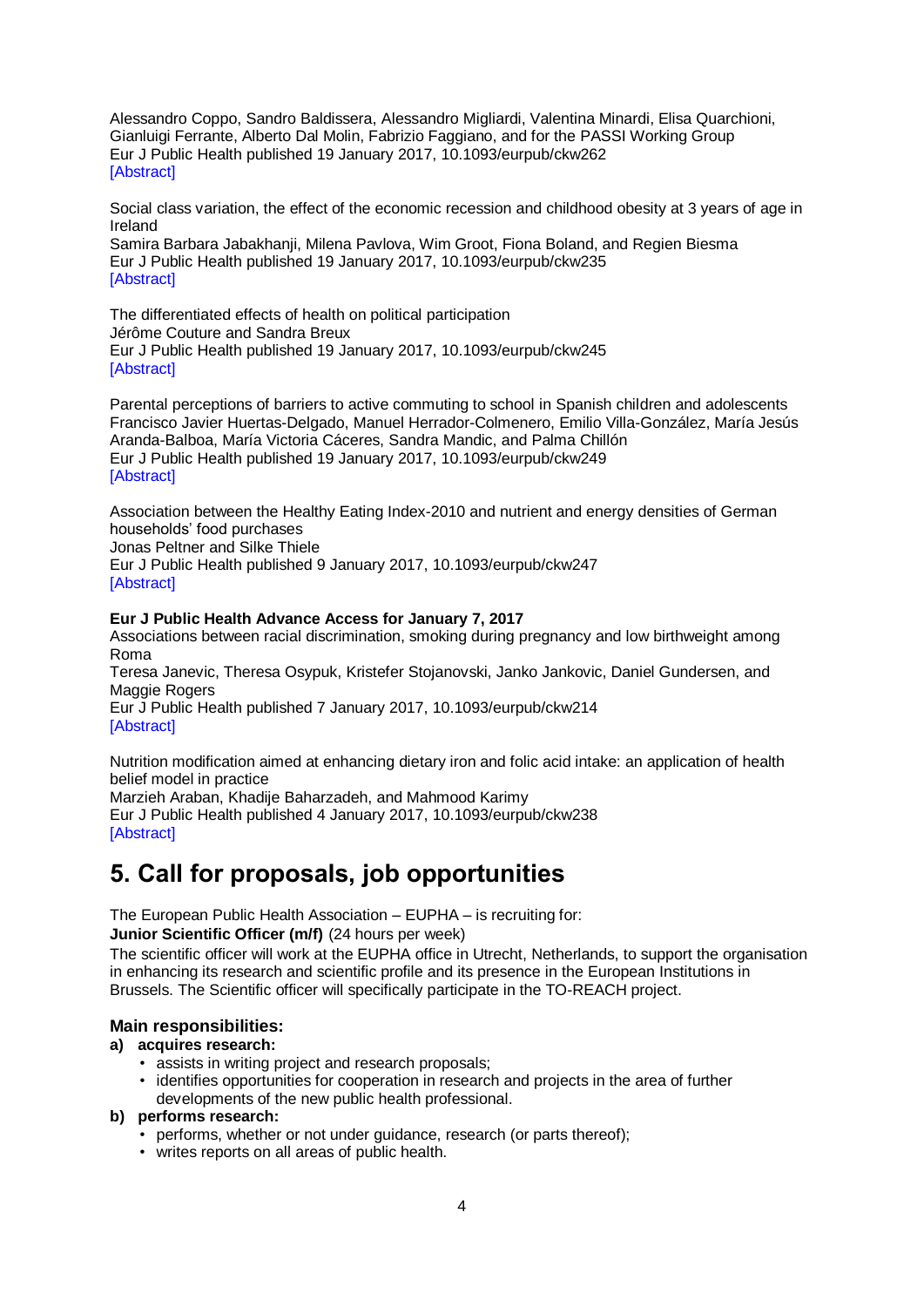Alessandro Coppo, Sandro Baldissera, Alessandro Migliardi, Valentina Minardi, Elisa Quarchioni, Gianluigi Ferrante, Alberto Dal Molin, Fabrizio Faggiano, and for the PASSI Working Group Eur J Public Health published 19 January 2017, 10.1093/eurpub/ckw262 [\[Abstract\]](https://academic.oup.com/eurpub/article/2929360/Quit-attempts-and-smoking-cessation-in-Italian?searchresult=1)

Social class variation, the effect of the economic recession and childhood obesity at 3 years of age in Ireland Samira Barbara Jabakhanji, Milena Pavlova, Wim Groot, Fiona Boland, and Regien Biesma Eur J Public Health published 19 January 2017, 10.1093/eurpub/ckw235 [\[Abstract\]](https://academic.oup.com/eurpub/article/2929356/Social-class-variation-the-effect-of-the-economic?searchresult=1)

The differentiated effects of health on political participation Jérôme Couture and Sandra Breux Eur J Public Health published 19 January 2017, 10.1093/eurpub/ckw245 [\[Abstract\]](https://academic.oup.com/eurpub/article/2929358/The-differentiated-effects-of-health-on-political?searchresult=1)

Parental perceptions of barriers to active commuting to school in Spanish children and adolescents Francisco Javier Huertas-Delgado, Manuel Herrador-Colmenero, Emilio Villa-González, María Jesús Aranda-Balboa, María Victoria Cáceres, Sandra Mandic, and Palma Chillón Eur J Public Health published 19 January 2017, 10.1093/eurpub/ckw249 [\[Abstract\]](http://euhttps/academic.oup.com/eurpub/article/2929359/Parental-perceptions-of-barriers-to-active?searchresult=1)

Association between the Healthy Eating Index-2010 and nutrient and energy densities of German households' food purchases

Jonas Peltner and Silke Thiele

Eur J Public Health published 9 January 2017, 10.1093/eurpub/ckw247 [\[Abstract\]](https://academic.oup.com/eurpub/article/2879899/Association-between-the-Healthy-Eating-Index-2010?searchresult=1)

### **Eur J Public Health Advance Access for January 7, 2017**

Associations between racial discrimination, smoking during pregnancy and low birthweight among Roma Teresa Janevic, Theresa Osypuk, Kristefer Stojanovski, Janko Jankovic, Daniel Gundersen, and Maggie Rogers Eur J Public Health published 7 January 2017, 10.1093/eurpub/ckw214 [\[Abstract\]](https://academic.oup.com/eurpub/article/2864999/Associations-between-racial-discrimination-smoking?searchresult=1)

Nutrition modification aimed at enhancing dietary iron and folic acid intake: an application of health belief model in practice

Marzieh Araban, Khadije Baharzadeh, and Mahmood Karimy

Eur J Public Health published 4 January 2017, 10.1093/eurpub/ckw238 [\[Abstract\]](https://academic.oup.com/eurpub/article/2712550/Nutrition-modification-aimed-at-enhancing-dietary?searchresult=1)

# <span id="page-3-0"></span>**5. Call for proposals, job opportunities**

The European Public Health Association – EUPHA – is recruiting for:

**Junior Scientific Officer (m/f)** (24 hours per week)

The scientific officer will work at the EUPHA office in Utrecht, Netherlands, to support the organisation in enhancing its research and scientific profile and its presence in the European Institutions in Brussels. The Scientific officer will specifically participate in the TO-REACH project.

## **Main responsibilities:**

## **a) acquires research:**

- assists in writing project and research proposals;
- identifies opportunities for cooperation in research and projects in the area of further developments of the new public health professional.
- **b) performs research:**
	- performs, whether or not under guidance, research (or parts thereof);
	- writes reports on all areas of public health.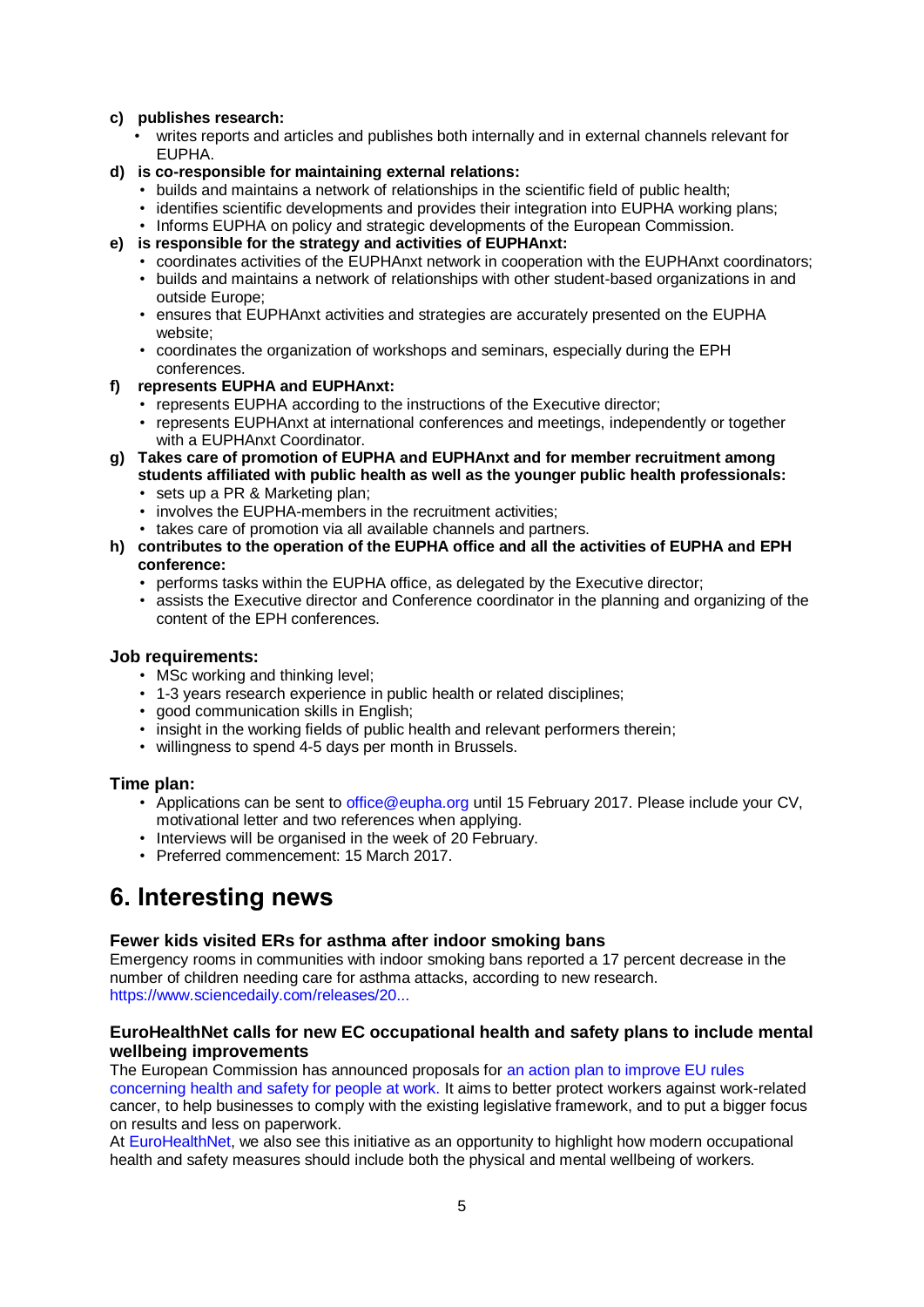#### **c) publishes research:**

- writes reports and articles and publishes both internally and in external channels relevant for EUPHA.
- **d) is co-responsible for maintaining external relations:**
	- builds and maintains a network of relationships in the scientific field of public health;
	- identifies scientific developments and provides their integration into EUPHA working plans;
	- Informs EUPHA on policy and strategic developments of the European Commission.
- **e) is responsible for the strategy and activities of EUPHAnxt:**
	- coordinates activities of the EUPHAnxt network in cooperation with the EUPHAnxt coordinators;
	- builds and maintains a network of relationships with other student-based organizations in and outside Europe;
	- ensures that EUPHAnxt activities and strategies are accurately presented on the EUPHA website;
	- coordinates the organization of workshops and seminars, especially during the EPH conferences.
- **f) represents EUPHA and EUPHAnxt:**
	- represents EUPHA according to the instructions of the Executive director;
	- represents EUPHAnxt at international conferences and meetings, independently or together with a EUPHAnxt Coordinator.
- **g) Takes care of promotion of EUPHA and EUPHAnxt and for member recruitment among students affiliated with public health as well as the younger public health professionals:**
	- sets up a PR & Marketing plan;
	- involves the EUPHA-members in the recruitment activities;
	- takes care of promotion via all available channels and partners.
- **h) contributes to the operation of the EUPHA office and all the activities of EUPHA and EPH conference:**
	- performs tasks within the EUPHA office, as delegated by the Executive director;
	- assists the Executive director and Conference coordinator in the planning and organizing of the content of the EPH conferences.

#### **Job requirements:**

- MSc working and thinking level:
- 1-3 years research experience in public health or related disciplines;
- good communication skills in English;
- insight in the working fields of public health and relevant performers therein;
- willingness to spend 4-5 days per month in Brussels.

#### **Time plan:**

- Applications can be sent to [office@eupha.org](mailto:office@eupha.org) until 15 February 2017. Please include your CV, motivational letter and two references when applying.
- Interviews will be organised in the week of 20 February.
- Preferred commencement: 15 March 2017.

# <span id="page-4-0"></span>**6. Interesting news**

#### **Fewer kids visited ERs for asthma after indoor smoking bans**

Emergency rooms in communities with indoor smoking bans reported a 17 percent decrease in the number of children needing care for asthma attacks, according to new research. [https://www.sciencedaily.com/releases/20...](https://www.sciencedaily.com/releases/2016/12/161228102633.htm?utm_source=feedburner&utm_medium=email&utm_campaign=Feed%3A+sciencedaily%2Fscience_society%2Fpublic_health+%28Public+Health+News+--+Scien)

#### **EuroHealthNet calls for new EC occupational health and safety plans to include mental wellbeing improvements**

The European Commission has announced proposals for an action plan to improve EU rules [concerning health and safety for people at work.](http://europa.eu/rapid/press-release_IP-17-2_en.htm) It aims to better protect workers against work-related cancer, to help businesses to comply with the existing legislative framework, and to put a bigger focus on results and less on paperwork.

At [EuroHealthNet,](http://eurohealthnet.eu/media/eurohealthnet-calls-new-ec-occupational-health-and-safety-plans-include-mental-wellbeing) we also see this initiative as an opportunity to highlight how modern occupational health and safety measures should include both the physical and mental wellbeing of workers.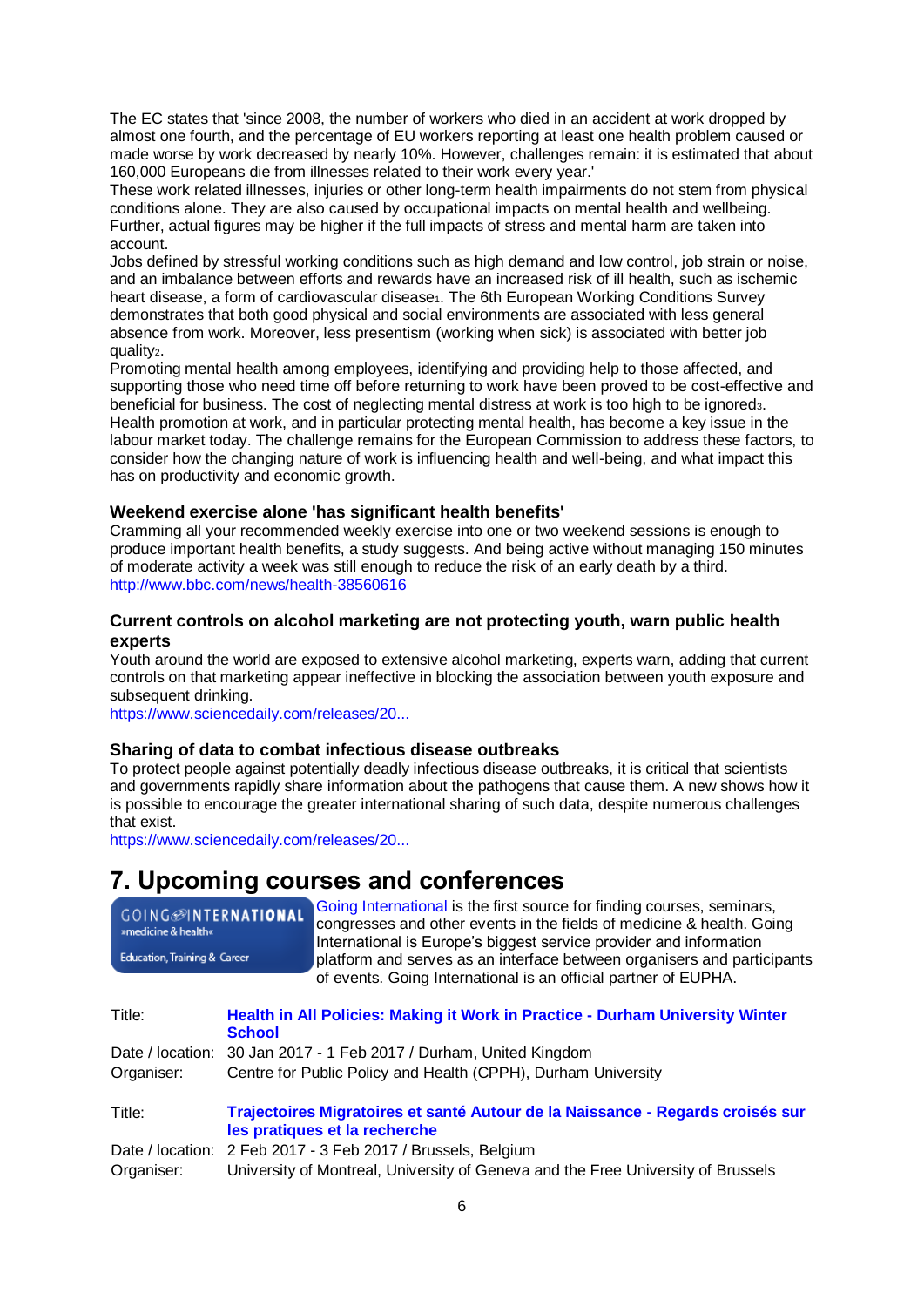The EC states that 'since 2008, the number of workers who died in an accident at work dropped by almost one fourth, and the percentage of EU workers reporting at least one health problem caused or made worse by work decreased by nearly 10%. However, challenges remain: it is estimated that about 160,000 Europeans die from illnesses related to their work every year.'

These work related illnesses, injuries or other long-term health impairments do not stem from physical conditions alone. They are also caused by occupational impacts on mental health and wellbeing. Further, actual figures may be higher if the full impacts of stress and mental harm are taken into account.

Jobs defined by stressful working conditions such as high demand and low control, job strain or noise, and an imbalance between efforts and rewards have an increased risk of ill health, such as ischemic heart disease, a form of cardiovascular disease1. The 6th European Working Conditions Survey demonstrates that both good physical and social environments are associated with less general absence from work. Moreover, less presentism (working when sick) is associated with better job quality<sub>2</sub>.

Promoting mental health among employees, identifying and providing help to those affected, and supporting those who need time off before returning to work have been proved to be cost-effective and beneficial for business. The cost of neglecting mental distress at work is too high to be ignored3. Health promotion at work, and in particular protecting mental health, has become a key issue in the labour market today. The challenge remains for the European Commission to address these factors, to consider how the changing nature of work is influencing health and well-being, and what impact this has on productivity and economic growth.

#### **Weekend exercise alone 'has significant health benefits'**

Cramming all your recommended weekly exercise into one or two weekend sessions is enough to produce important health benefits, a study suggests. And being active without managing 150 minutes of moderate activity a week was still enough to reduce the risk of an early death by a third. <http://www.bbc.com/news/health-38560616>

#### **Current controls on alcohol marketing are not protecting youth, warn public health experts**

Youth around the world are exposed to extensive alcohol marketing, experts warn, adding that current controls on that marketing appear ineffective in blocking the association between youth exposure and subsequent drinking.

[https://www.sciencedaily.com/releases/20...](https://www.sciencedaily.com/releases/2017/01/170110094645.htm?utm_source=feedburner&utm_medium=email&utm_campaign=Feed%3A+sciencedaily%2Fscience_society%2Fpublic_health+%28Public+Health+News+--+Scien)

#### **Sharing of data to combat infectious disease outbreaks**

To protect people against potentially deadly infectious disease outbreaks, it is critical that scientists and governments rapidly share information about the pathogens that cause them. A new shows how it is possible to encourage the greater international sharing of such data, despite numerous challenges that exist.

[https://www.sciencedaily.com/releases/20...](https://www.sciencedaily.com/releases/2017/01/170112085013.htm?utm_source=feedburner&utm_medium=email&utm_campaign=Feed%3A+sciencedaily%2Fscience_society%2Fpublic_health+%28Public+Health+News+--+Scien)

# <span id="page-5-0"></span>**7. Upcoming courses and conferences**

| GOING <sup>@INTERNATIONAL</sup><br>»medicine & health«<br><b>Education, Training &amp; Career</b> |               | Going International is the first source for finding courses, seminars,<br>congresses and other events in the fields of medicine & health. Going<br>International is Europe's biggest service provider and information<br>platform and serves as an interface between organisers and participants |
|---------------------------------------------------------------------------------------------------|---------------|--------------------------------------------------------------------------------------------------------------------------------------------------------------------------------------------------------------------------------------------------------------------------------------------------|
| Title:                                                                                            | <b>School</b> | of events. Going International is an official partner of EUPHA.<br>Health in All Policies: Making it Work in Practice - Durham University Winter                                                                                                                                                 |

|  |  |  |  | Date / location: 30 Jan 2017 - 1 Feb 2017 / Durham, United Kingdom |
|--|--|--|--|--------------------------------------------------------------------|
|--|--|--|--|--------------------------------------------------------------------|

| Centre for Public Policy and Health (CPPH), Durham University<br>Organiser: |  |
|-----------------------------------------------------------------------------|--|
|-----------------------------------------------------------------------------|--|

Title: **[Trajectoires Migratoires et santé Autour de la Naissance -](https://perinatmigrant.sciencesconf.org/) Regards croisés sur [les pratiques et la recherche](https://perinatmigrant.sciencesconf.org/)** Date / location: 2 Feb 2017 - 3 Feb 2017 / Brussels, Belgium Organiser: University of Montreal, University of Geneva and the Free University of Brussels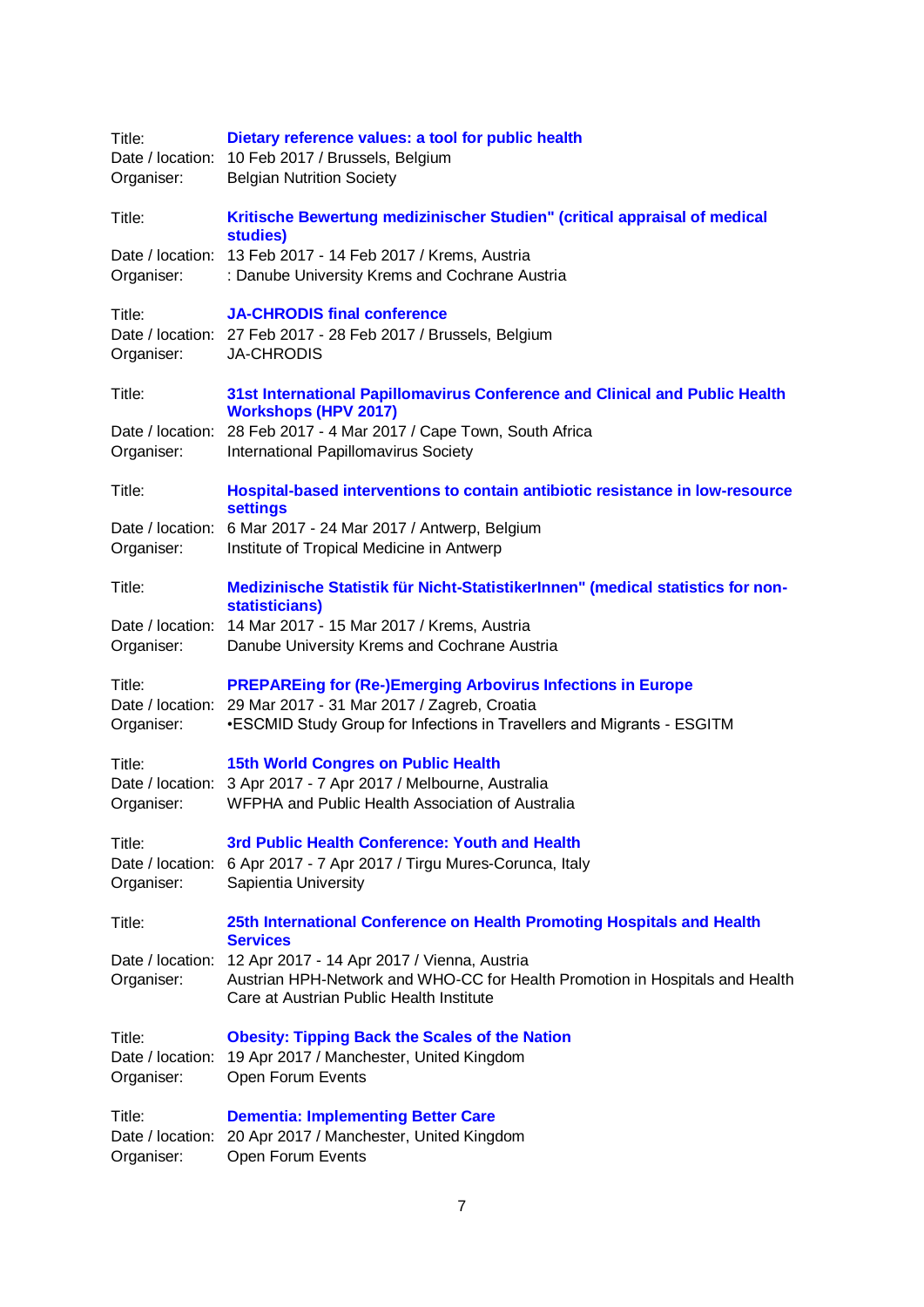| Title:<br>Organiser:                     | Dietary reference values: a tool for public health<br>Date / location: 10 Feb 2017 / Brussels, Belgium<br><b>Belgian Nutrition Society</b>                                                                   |
|------------------------------------------|--------------------------------------------------------------------------------------------------------------------------------------------------------------------------------------------------------------|
| Title:                                   | Kritische Bewertung medizinischer Studien" (critical appraisal of medical<br>studies)                                                                                                                        |
| Organiser:                               | Date / location: 13 Feb 2017 - 14 Feb 2017 / Krems, Austria<br>: Danube University Krems and Cochrane Austria                                                                                                |
| Title:<br>Organiser:                     | <b>JA-CHRODIS final conference</b><br>Date / location: 27 Feb 2017 - 28 Feb 2017 / Brussels, Belgium<br><b>JA-CHRODIS</b>                                                                                    |
| Title:                                   | 31st International Papillomavirus Conference and Clinical and Public Health<br><b>Workshops (HPV 2017)</b>                                                                                                   |
| Organiser:                               | Date / location: 28 Feb 2017 - 4 Mar 2017 / Cape Town, South Africa<br>International Papillomavirus Society                                                                                                  |
| Title:                                   | Hospital-based interventions to contain antibiotic resistance in low-resource<br><b>settings</b>                                                                                                             |
| Organiser:                               | Date / location: 6 Mar 2017 - 24 Mar 2017 / Antwerp, Belgium<br>Institute of Tropical Medicine in Antwerp                                                                                                    |
| Title:                                   | Medizinische Statistik für Nicht-StatistikerInnen" (medical statistics for non-<br>statisticians)                                                                                                            |
| Date / location:<br>Organiser:           | 14 Mar 2017 - 15 Mar 2017 / Krems, Austria<br>Danube University Krems and Cochrane Austria                                                                                                                   |
| Title:<br>Organiser:                     | <b>PREPAREing for (Re-)Emerging Arbovirus Infections in Europe</b><br>Date / location: 29 Mar 2017 - 31 Mar 2017 / Zagreb, Croatia<br>•ESCMID Study Group for Infections in Travellers and Migrants - ESGITM |
| Title:<br>Organiser:                     | <b>15th World Congres on Public Health</b><br>Date / location: 3 Apr 2017 - 7 Apr 2017 / Melbourne, Australia<br>WFPHA and Public Health Association of Australia                                            |
| Title:<br>Organiser:                     | 3rd Public Health Conference: Youth and Health<br>Date / location: 6 Apr 2017 - 7 Apr 2017 / Tirgu Mures-Corunca, Italy<br>Sapientia University                                                              |
| Title:                                   | 25th International Conference on Health Promoting Hospitals and Health<br><b>Services</b>                                                                                                                    |
| Organiser:                               | Date / location: 12 Apr 2017 - 14 Apr 2017 / Vienna, Austria<br>Austrian HPH-Network and WHO-CC for Health Promotion in Hospitals and Health<br>Care at Austrian Public Health Institute                     |
| Title:<br>Date / location:<br>Organiser: | <b>Obesity: Tipping Back the Scales of the Nation</b><br>19 Apr 2017 / Manchester, United Kingdom<br>Open Forum Events                                                                                       |
| Title:<br>Date / location:<br>Organiser: | <b>Dementia: Implementing Better Care</b><br>20 Apr 2017 / Manchester, United Kingdom<br>Open Forum Events                                                                                                   |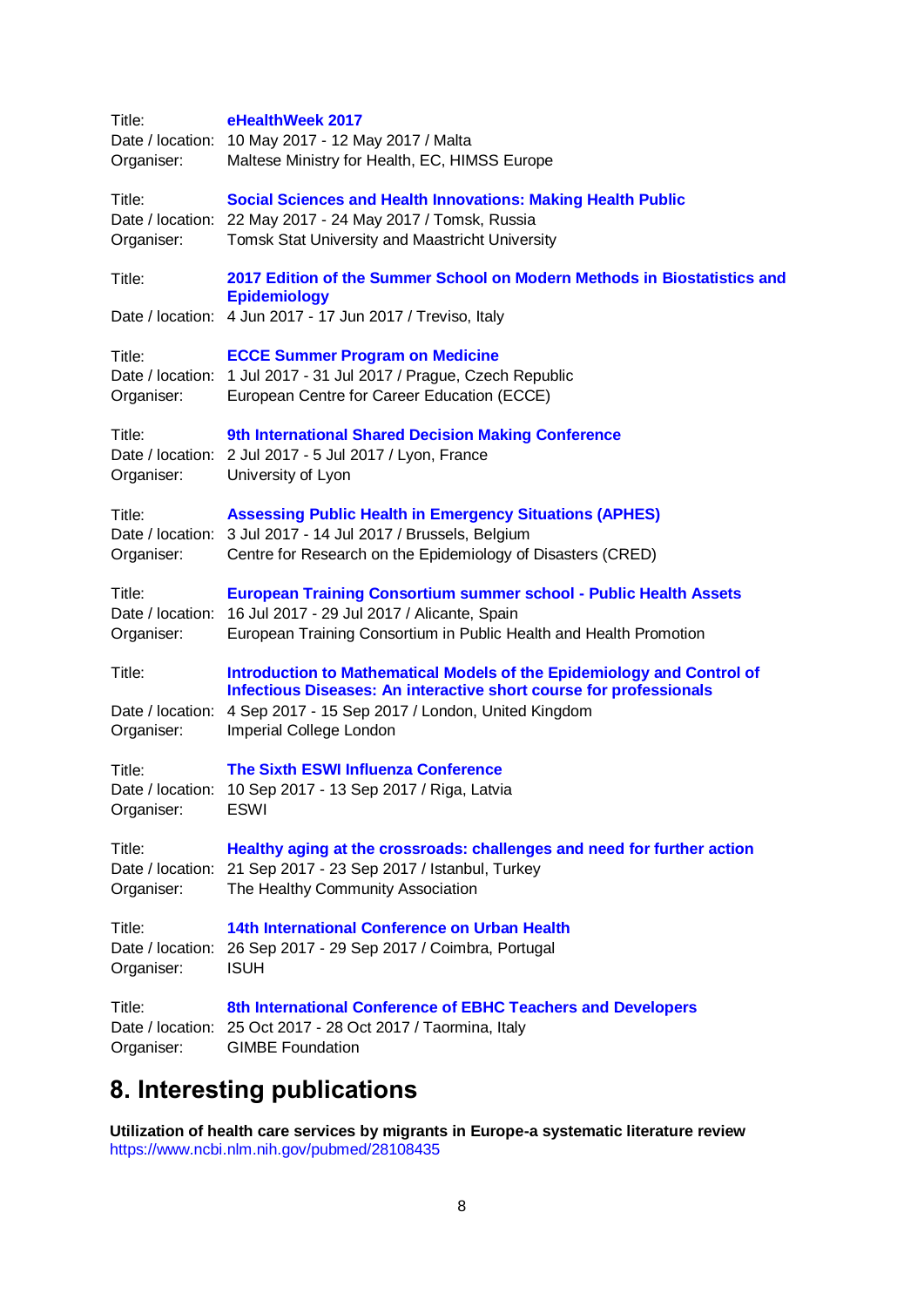| Title:<br>Organiser:                     | eHealthWeek 2017<br>Date / location: 10 May 2017 - 12 May 2017 / Malta<br>Maltese Ministry for Health, EC, HIMSS Europe                                                                                                             |
|------------------------------------------|-------------------------------------------------------------------------------------------------------------------------------------------------------------------------------------------------------------------------------------|
| Title:<br>Organiser:                     | <b>Social Sciences and Health Innovations: Making Health Public</b><br>Date / location: 22 May 2017 - 24 May 2017 / Tomsk, Russia<br>Tomsk Stat University and Maastricht University                                                |
| Title:                                   | 2017 Edition of the Summer School on Modern Methods in Biostatistics and<br><b>Epidemiology</b><br>Date / location: 4 Jun 2017 - 17 Jun 2017 / Treviso, Italy                                                                       |
| Title:<br>Organiser:                     | <b>ECCE Summer Program on Medicine</b><br>Date / location: 1 Jul 2017 - 31 Jul 2017 / Prague, Czech Republic<br>European Centre for Career Education (ECCE)                                                                         |
| Title:<br>Organiser:                     | 9th International Shared Decision Making Conference<br>Date / location: 2 Jul 2017 - 5 Jul 2017 / Lyon, France<br>University of Lyon                                                                                                |
| Title:<br>Organiser:                     | <b>Assessing Public Health in Emergency Situations (APHES)</b><br>Date / location: 3 Jul 2017 - 14 Jul 2017 / Brussels, Belgium<br>Centre for Research on the Epidemiology of Disasters (CRED)                                      |
| Title:<br>Organiser:                     | <b>European Training Consortium summer school - Public Health Assets</b><br>Date / location: 16 Jul 2017 - 29 Jul 2017 / Alicante, Spain<br>European Training Consortium in Public Health and Health Promotion                      |
| Title:<br>Date / location:<br>Organiser: | Introduction to Mathematical Models of the Epidemiology and Control of<br><b>Infectious Diseases: An interactive short course for professionals</b><br>4 Sep 2017 - 15 Sep 2017 / London, United Kingdom<br>Imperial College London |
| Title:<br>Date / location:<br>Organiser: | <b>The Sixth ESWI Influenza Conference</b><br>10 Sep 2017 - 13 Sep 2017 / Riga, Latvia<br>ESWI                                                                                                                                      |
| Title:<br>Organiser:                     | Healthy aging at the crossroads: challenges and need for further action<br>Date / location: 21 Sep 2017 - 23 Sep 2017 / Istanbul, Turkey<br>The Healthy Community Association                                                       |
| Title:<br>Date / location:<br>Organiser: | 14th International Conference on Urban Health<br>26 Sep 2017 - 29 Sep 2017 / Coimbra, Portugal<br><b>ISUH</b>                                                                                                                       |
| Title:<br>Organiser:                     | 8th International Conference of EBHC Teachers and Developers<br>Date / location: 25 Oct 2017 - 28 Oct 2017 / Taormina, Italy<br><b>GIMBE Foundation</b>                                                                             |

# <span id="page-7-0"></span>**8. Interesting publications**

**Utilization of health care services by migrants in Europe-a systematic literature review** <https://www.ncbi.nlm.nih.gov/pubmed/28108435>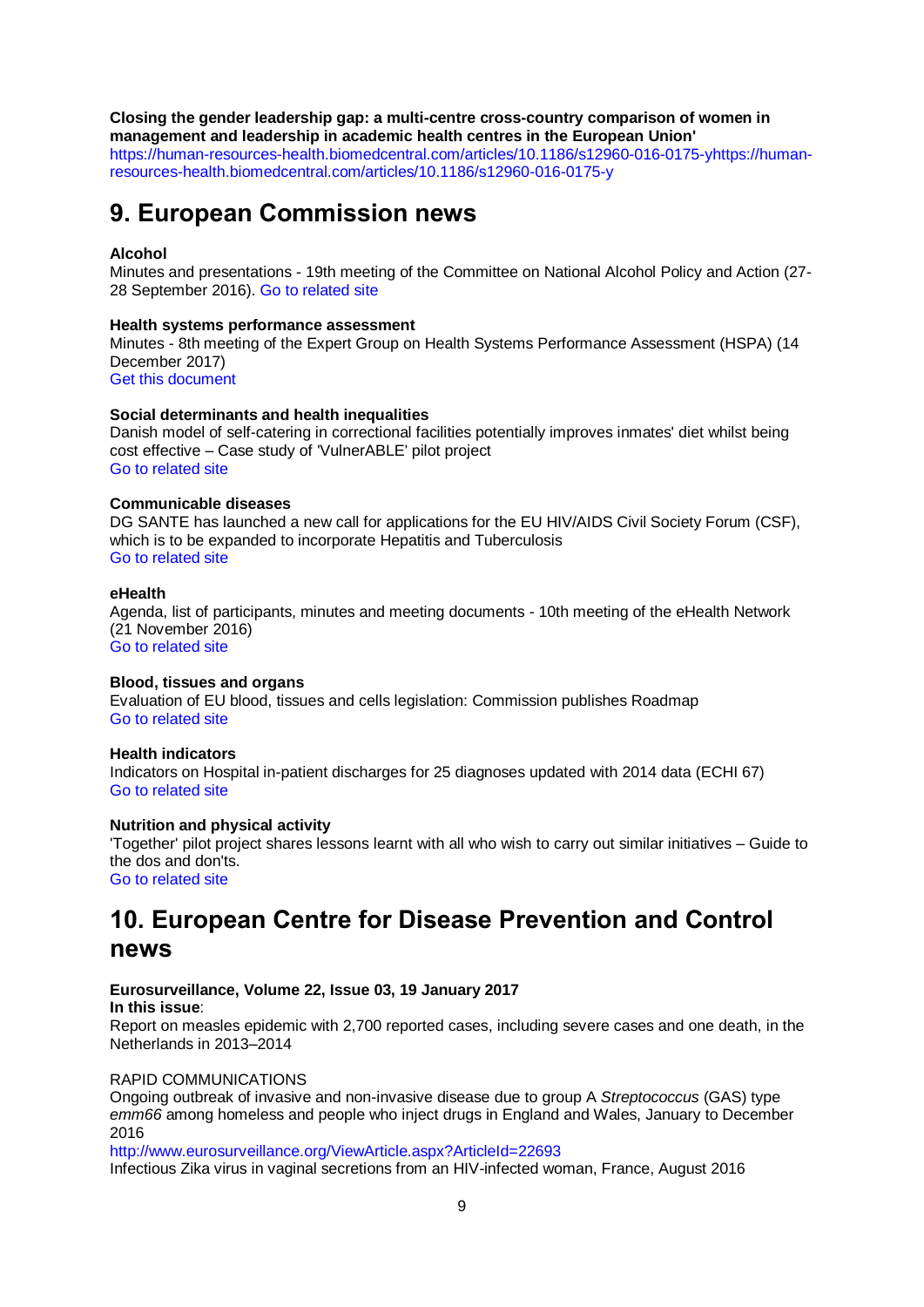## **Closing the gender leadership gap: a multi-centre cross-country comparison of women in**

**management and leadership in academic health centres in the European Union'** [https://human-resources-health.biomedcentral.com/articles/10.1186/s12960-016-0175-yhttps://human](https://human-resources-health.biomedcentral.com/articles/10.1186/s12960-016-0175-yhttps:/human-resources-health.biomedcentral.com/articles/10.1186/s12960-016-0175-y)[resources-health.biomedcentral.com/articles/10.1186/s12960-016-0175-y](https://human-resources-health.biomedcentral.com/articles/10.1186/s12960-016-0175-yhttps:/human-resources-health.biomedcentral.com/articles/10.1186/s12960-016-0175-y)

# <span id="page-8-0"></span>**9. European Commission news**

#### **Alcohol**

Minutes and presentations - 19th meeting of the Committee on National Alcohol Policy and Action (27- 28 September 2016). [Go to related site](https://ec.europa.eu/health/alcohol/events/ev_20160927_en)

#### **Health systems performance assessment**

Minutes - 8th meeting of the Expert Group on Health Systems Performance Assessment (HSPA) (14 December 2017)

[Get this document](http://ec.europa.eu/health/sites/health/files/systems_performance_assessment/docs/ev_20161214_mi_en.pdf)

#### **Social determinants and health inequalities**

Danish model of self-catering in correctional facilities potentially improves inmates' diet whilst being cost effective – Case study of 'VulnerABLE' pilot project [Go to related site](https://ec.europa.eu/health/social_determinants/projects/ep_funded_projects_en#fragment0)

#### **Communicable diseases**

DG SANTE has launched a new call for applications for the EU HIV/AIDS Civil Society Forum (CSF). which is to be expanded to incorporate Hepatitis and Tuberculosis [Go to related site](http://ec.europa.eu/health/sti_prevention/hiv_aids/civil_society_forum/call_en)

#### **eHealth**

Agenda, list of participants, minutes and meeting documents - 10th meeting of the eHealth Network (21 November 2016) [Go to related site](http://ec.europa.eu/health/ehealth/events/ev_20160607_en)

#### **Blood, tissues and organs**

Evaluation of EU blood, tissues and cells legislation: Commission publishes Roadmap [Go to related site](http://ec.europa.eu/newsroom/sante/itemdetail.cfm?item_id=52459&newsletter=327)

#### **Health indicators**

Indicators on Hospital in-patient discharges for 25 diagnoses updated with 2014 data (ECHI 67) [Go to related site](https://ec.europa.eu/health/indicators/echi/list_en#id4)

#### **Nutrition and physical activity**

'Together' pilot project shares lessons learnt with all who wish to carry out similar initiatives – Guide to the dos and don'ts.

[Go to related site](http://ec.europa.eu/health/nutrition_physical_activity/projects/ep_funded_projects_en#fragment2)

# <span id="page-8-1"></span>**10. European Centre for Disease Prevention and Control news**

#### **Eurosurveillance, Volume 22, Issue 03, 19 January 2017 In this issue**:

Report on measles epidemic with 2,700 reported cases, including severe cases and one death, in the Netherlands in 2013–2014

#### RAPID COMMUNICATIONS

Ongoing outbreak of invasive and non-invasive disease due to group A *Streptococcus* (GAS) type *emm66* among homeless and people who inject drugs in England and Wales, January to December 2016

<http://www.eurosurveillance.org/ViewArticle.aspx?ArticleId=22693> Infectious Zika virus in vaginal secretions from an HIV-infected woman, France, August 2016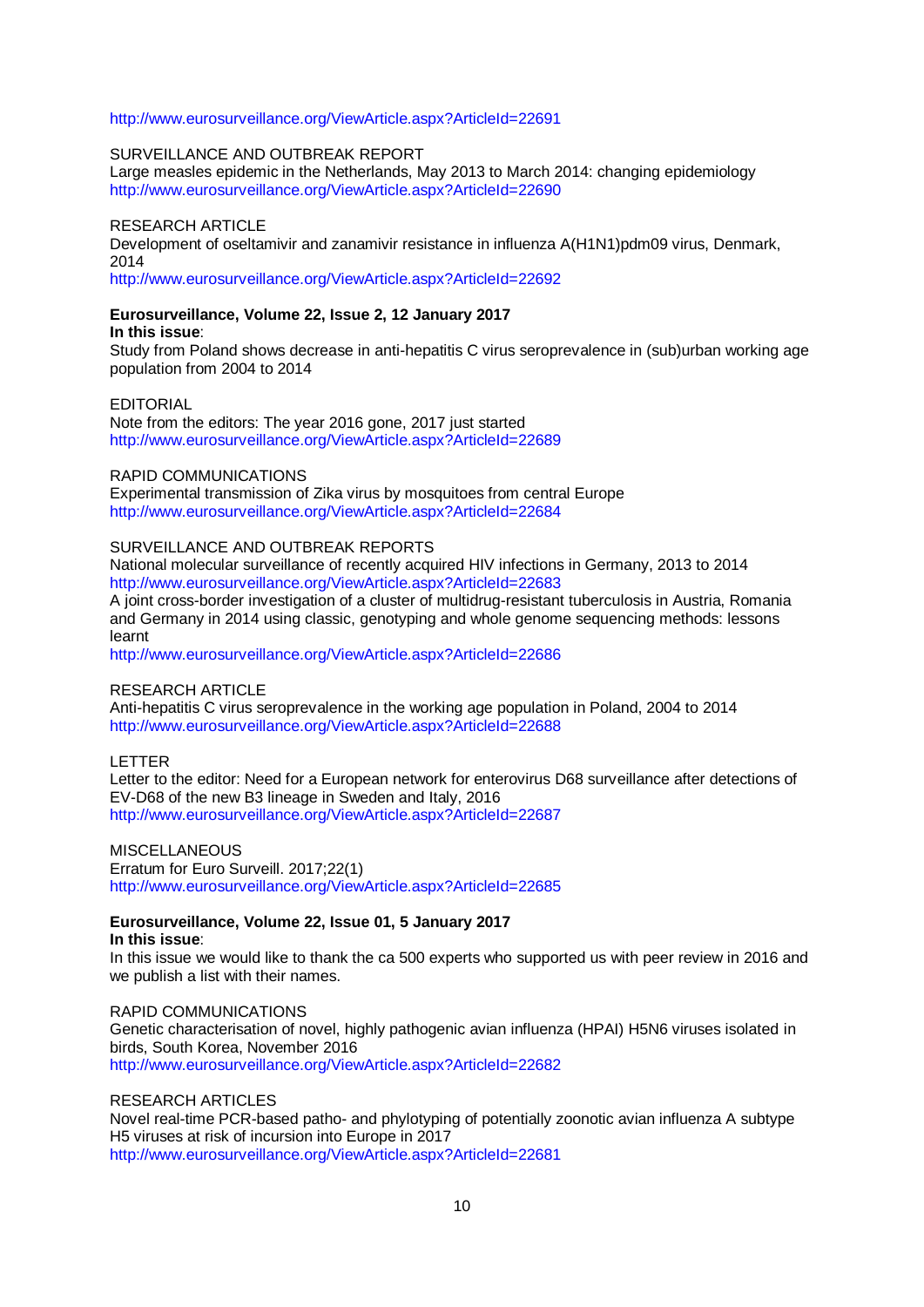#### <http://www.eurosurveillance.org/ViewArticle.aspx?ArticleId=22691>

#### SURVEILLANCE AND OUTBREAK REPORT

Large measles epidemic in the Netherlands, May 2013 to March 2014: changing epidemiology <http://www.eurosurveillance.org/ViewArticle.aspx?ArticleId=22690>

#### RESEARCH ARTICLE

Development of oseltamivir and zanamivir resistance in influenza A(H1N1)pdm09 virus, Denmark, 2014

<http://www.eurosurveillance.org/ViewArticle.aspx?ArticleId=22692>

# **Eurosurveillance, Volume 22, Issue 2, 12 January 2017**

#### **In this issue**:

Study from Poland shows decrease in anti-hepatitis C virus seroprevalence in (sub)urban working age population from 2004 to 2014

#### EDITORIAL

Note from the editors: The year 2016 gone, 2017 just started <http://www.eurosurveillance.org/ViewArticle.aspx?ArticleId=22689>

#### RAPID COMMUNICATIONS

Experimental transmission of Zika virus by mosquitoes from central Europe <http://www.eurosurveillance.org/ViewArticle.aspx?ArticleId=22684>

#### SURVEILLANCE AND OUTBREAK REPORTS

National molecular surveillance of recently acquired HIV infections in Germany, 2013 to 2014 <http://www.eurosurveillance.org/ViewArticle.aspx?ArticleId=22683>

A joint cross-border investigation of a cluster of multidrug-resistant tuberculosis in Austria, Romania and Germany in 2014 using classic, genotyping and whole genome sequencing methods: lessons learnt

<http://www.eurosurveillance.org/ViewArticle.aspx?ArticleId=22686>

#### RESEARCH ARTICLE

Anti-hepatitis C virus seroprevalence in the working age population in Poland, 2004 to 2014 <http://www.eurosurveillance.org/ViewArticle.aspx?ArticleId=22688>

LETTER

Letter to the editor: Need for a European network for enterovirus D68 surveillance after detections of EV-D68 of the new B3 lineage in Sweden and Italy, 2016 <http://www.eurosurveillance.org/ViewArticle.aspx?ArticleId=22687>

MISCELLANEOUS Erratum for Euro Surveill. 2017;22(1) <http://www.eurosurveillance.org/ViewArticle.aspx?ArticleId=22685>

#### **Eurosurveillance, Volume 22, Issue 01, 5 January 2017 In this issue**:

In this issue we would like to thank the ca 500 experts who supported us with peer review in 2016 and we publish a list with their names.

#### RAPID COMMUNICATIONS

Genetic characterisation of novel, highly pathogenic avian influenza (HPAI) H5N6 viruses isolated in birds, South Korea, November 2016 <http://www.eurosurveillance.org/ViewArticle.aspx?ArticleId=22682>

#### RESEARCH ARTICLES

Novel real-time PCR-based patho- and phylotyping of potentially zoonotic avian influenza A subtype H5 viruses at risk of incursion into Europe in 2017 <http://www.eurosurveillance.org/ViewArticle.aspx?ArticleId=22681>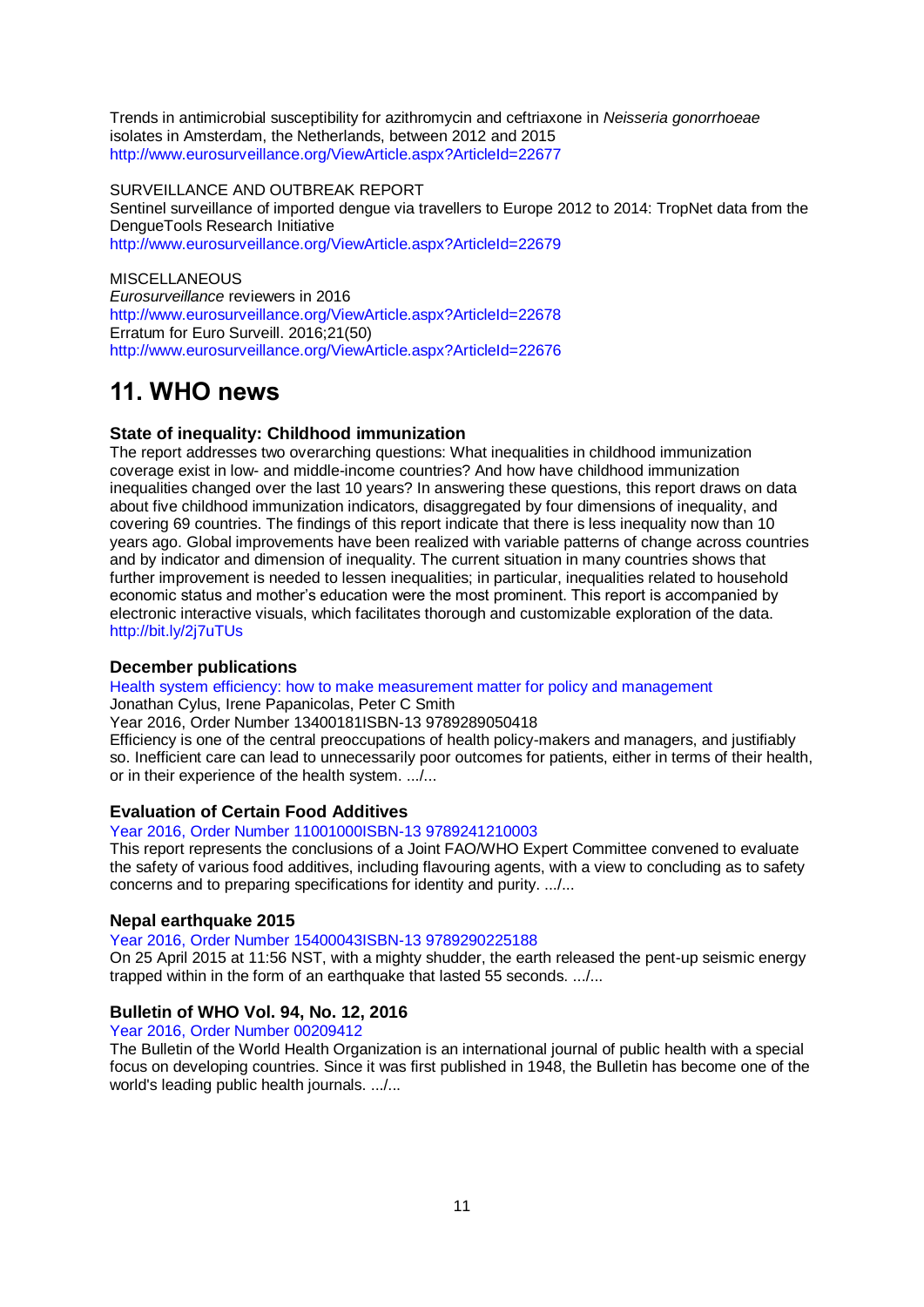Trends in antimicrobial susceptibility for azithromycin and ceftriaxone in *Neisseria gonorrhoeae* isolates in Amsterdam, the Netherlands, between 2012 and 2015 <http://www.eurosurveillance.org/ViewArticle.aspx?ArticleId=22677>

SURVEILLANCE AND OUTBREAK REPORT Sentinel surveillance of imported dengue via travellers to Europe 2012 to 2014: TropNet data from the DengueTools Research Initiative <http://www.eurosurveillance.org/ViewArticle.aspx?ArticleId=22679>

**MISCELLANEOUS** *Eurosurveillance* reviewers in 2016 <http://www.eurosurveillance.org/ViewArticle.aspx?ArticleId=22678> Erratum for Euro Surveill. 2016;21(50) <http://www.eurosurveillance.org/ViewArticle.aspx?ArticleId=22676>

# <span id="page-10-0"></span>**11. WHO news**

### **State of inequality: Childhood immunization**

The report addresses two overarching questions: What inequalities in childhood immunization coverage exist in low- and middle-income countries? And how have childhood immunization inequalities changed over the last 10 years? In answering these questions, this report draws on data about five childhood immunization indicators, disaggregated by four dimensions of inequality, and covering 69 countries. The findings of this report indicate that there is less inequality now than 10 years ago. Global improvements have been realized with variable patterns of change across countries and by indicator and dimension of inequality. The current situation in many countries shows that further improvement is needed to lessen inequalities; in particular, inequalities related to household economic status and mother's education were the most prominent. This report is accompanied by electronic interactive visuals, which facilitates thorough and customizable exploration of the data. <http://bit.ly/2j7uTUs>

## **December publications**

[Health system efficiency: how to make measurement matter for policy and management](http://www.euro.who.int/en/about-us/partners/observatory/publications/studies/health-system-efficiency-how-to-make-measurement-matter-for-policy-and-management)

Jonathan Cylus, Irene Papanicolas, Peter C Smith

Year 2016, Order Number 13400181ISBN-13 9789289050418

Efficiency is one of the central preoccupations of health policy-makers and managers, and justifiably so. Inefficient care can lead to unnecessarily poor outcomes for patients, either in terms of their health, or in their experience of the health system. .../...

#### **Evaluation of Certain Food Additives**

#### [Year 2016, Order Number 11001000ISBN-13 9789241210003](http://apps.who.int/bookorders/anglais/detart1.jsp?codlan=1&codcol=10&codcch=1000)

This report represents the conclusions of a Joint FAO/WHO Expert Committee convened to evaluate the safety of various food additives, including flavouring agents, with a view to concluding as to safety concerns and to preparing specifications for identity and purity. .../...

#### **Nepal earthquake 2015**

[Year 2016, Order Number 15400043ISBN-13 9789290225188](http://apps.who.int/bookorders/anglais/detart1.jsp?codlan=1&codcol=54&codcch=43)

On 25 April 2015 at 11:56 NST, with a mighty shudder, the earth released the pent-up seismic energy trapped within in the form of an earthquake that lasted 55 seconds. .../...

## **Bulletin of WHO Vol. 94, No. 12, 2016**

[Year 2016, Order Number 00209412](http://apps.who.int/bookorders/anglais/detart1.jsp?codlan=0&codcol=2&codcch=9412)

The Bulletin of the World Health Organization is an international journal of public health with a special focus on developing countries. Since it was first published in 1948, the Bulletin has become one of the world's leading public health journals. .../...